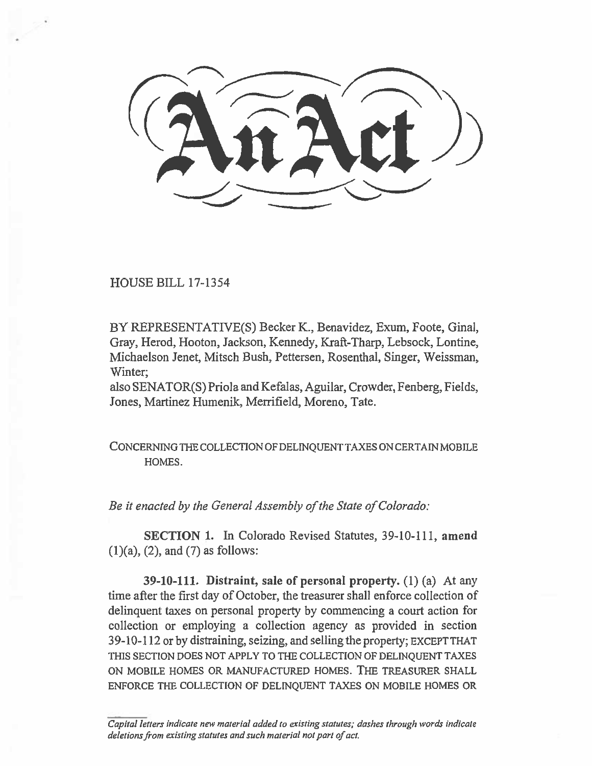HOUSE BILL 17-1354

BY REPRESENTATIVE(S) Becker K., Benavidez, Exum, Foote, Ginal, Gray, Herod, Hooton, Jackson, Kennedy, Kraft-Tharp, Lebsock, Lontine, Michaelson Jenet, Mitsch Bush, Pettersen, Rosenthal, Singer, Weissman, Winter;

also SENATOR(S) Priola and Kefalas, Aguilar, Crowder, Fenberg, Fields, Jones, Martinez Humenik, Merrifield, Moreno, Tate.

**CONCERNING THE COLLECTION OF DELINQUENT TAXES ON CERTAIN MOBILE HOMES.** 

*Be it enacted by the General Assembly of the State of Colorado:* 

**SECTION 1.** In Colorado Revised Statutes, 39-10-111, **amend**   $(1)(a)$ ,  $(2)$ , and  $(7)$  as follows:

**39-10-111. Distraint, sale of personal property. (1)** *(a)* At any time after the first day of October, the treasurer shall enforce collection of delinquent taxes on personal property by commencing a court action for collection or employing a collection agency as provided in section 39-10-112 or by distraining, seizing, and selling the property; **EXCEPT THAT THIS SECTION DOES NOT APPLY TO THE COLLECTION OF DELINQUENT TAXES ON MOBILE HOMES OR MANUFACTURED HOMES. THE TREASURER SHALL ENFORCE THE COLLECTION OF DELINQUENT TAXES ON MOBILE HOMES OR** 

*Capital letters indicate new material added to existing statutes; dashes through words indicate deletions from existing statutes and such material not part of act.*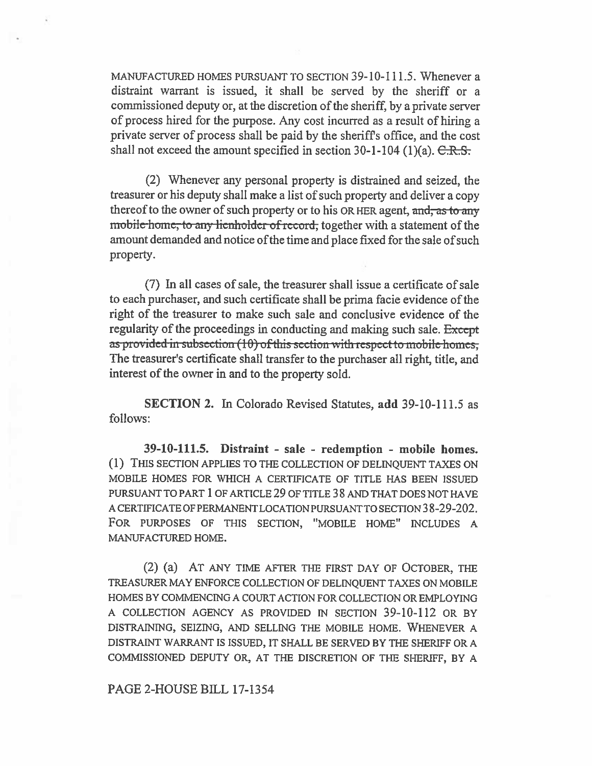MANUFACTURED HOMES PURSUANT TO SECTION 39-10-111.5. Whenever a distraint warrant is issued, it shall be served by the sheriff or a commissioned deputy or, at the discretion of the sheriff, by a private server of process hired for the purpose. Any cost incurred as a result of hiring a private server of process shall be paid by the sheriffs office, and the cost shall not exceed the amount specified in section  $30-1-104$  (1)(a).  $C.R.S.$ 

(2) Whenever any personal property is distrained and seized, the treasurer or his deputy shall make a list of such property and deliver a copy thereof to the owner of such property or to his OR HER agent, and, as to any mobile-home, to any lienholder of record, together with a statement of the amount demanded and notice of the time and place fixed for the sale of such property.

(7) In all cases of sale, the treasurer shall issue a certificate of sale to each purchaser, and such certificate shall be prima **facie** evidence of the right of the treasurer to make such sale and conclusive evidence of the regularity of the proceedings in conducting and making such sale. Except as provided in subsection (10) of this section with respect to mobile homes, The treasurer's certificate shall transfer to the purchaser all right, title, and interest of the owner in and to the property sold.

SECTION 2. In Colorado Revised Statutes, **add** 39-10-111.5 as follows:

**39-10-111.5. Distraint - sale - redemption - mobile homes. (1)** THIS SECTION APPLIES TO THE COLLECTION OF DELINQUENT TAXES ON MOBILE HOMES FOR WHICH A CERTIFICATE OF TITLE HAS BEEN ISSUED PURSUANT TO PART 1 OF ARTICLE 29 OF TITLE 38 AND THAT DOES NOT HAVE A CERTIFICATE OF PERMANENT LOCATION PURSUANT TO SECTION 38-29-202. FOR PURPOSES OF THIS SECTION, "MOBILE HOME" INCLUDES A MANUFACTURED HOME.

(2) **(a)** AT ANY TIME AFTER THE FIRST DAY OF OCTOBER, THE TREASURER MAY ENFORCE COLLECTION OF DELINQUENT TAXES ON MOBILE HOMES BY COMMENCING A COURT ACTION FOR COLLECTION OR EMPLOYING A COLLECTION AGENCY AS PROVIDED IN SECTION 39-10-112 OR BY DISTRAINING, SEIZING, AND SELLING THE MOBILE HOME. WHENEVER A DISTRAINT WARRANT IS ISSUED, IT SHALL BE SERVED BY THE SHERIFF OR A COMMISSIONED DEPUTY OR, AT THE DISCRETION OF THE SHERIFF, BY A

## PAGE 2-HOUSE BILL 17-1354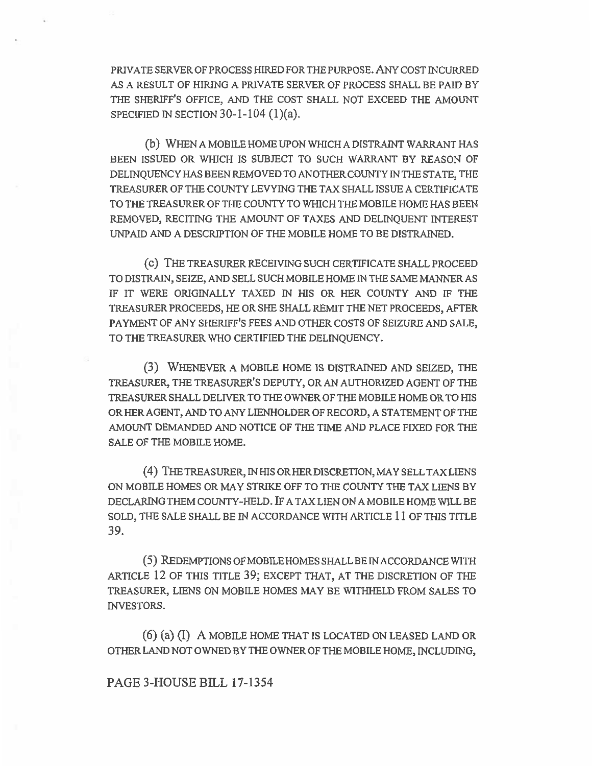PRIVATE SERVER OF PROCESS HIRED FOR THE PURPOSE. ANY COST INCURRED AS A RESULT OF HIRING A PRIVATE SERVER OF PROCESS SHALL BE PAID BY THE SHERIFF'S OFFICE, AND THE COST SHALL NOT EXCEED THE AMOUNT SPECIFIED IN SECTION  $30-1-104$  (1)(a).

(b) WHEN A MOBILE HOME UPON WHICH A DISTRAINT WARRANT HAS BEEN ISSUED OR WHICH IS SUBJECT TO SUCH WARRANT BY REASON OF DELINQUENCY HAS BEEN REMOVED TO ANOTHER COUNTY IN THE STATE, THE TREASURER OF THE COUNTY LEVYING THE TAX SHALL ISSUE A CERTIFICATE TO THE TREASURER OF THE COUNTY TO WHICH THE MOBILE HOME HAS BEEN REMOVED, RECITING THE AMOUNT OF TAXES AND DELINQUENT INTEREST UNPAID AND A DESCRIPTION OF THE MOBILE HOME TO BE DISTRAINED.

(c) THE TREASURER RECEIVING SUCH CERTIFICATE SHALL PROCEED TO DISTRAIN, SEIZE, AND SELL SUCH MOBILE HOME IN THE SAME MANNER AS IF IT WERE ORIGINALLY TAXED IN HIS OR HER COUNTY AND IF THE TREASURER PROCEEDS, HE OR SHE SHALL REMIT THE NET PROCEEDS, AFTER PAYMENT OF ANY SHERIFF'S FEES AND OTHER COSTS OF SEIZURE AND SALE, TO THE TREASURER WHO CERTIFIED THE DELINQUENCY.

(3) WHENEVER A MOBILE HOME IS DISTRAINED AND SEIZED, THE TREASURER, THE TREASURER'S DEPUTY, OR AN AUTHORIZED AGENT OF THE TREASURER SHALL DELIVER TO THE OWNER OF THE MOBILE HOME OR TO HIS OR HER AGENT, AND TO ANY LIENHOLDER OF RECORD, A STATEMENT OF THE AMOUNT DEMANDED AND NOTICE OF THE TIME AND PLACE FIXED FOR THE SALE OF THE MOBILE HOME.

(4) THE TREASURER, IN HIS OR HERDISCRETION, MAY SELL TAX LIENS ON MOBILE HOMES OR MAY STRIKE OFF TO THE COUNTY THE TAX LIENS BY DECLARING THEM COUNTY-HELD. IF A TAX LIEN ON A MOBILE HOME WILL BE SOLD, THE SALE SHALL BE IN ACCORDANCE WITH ARTICLE 11 OF THIS TITLE 39.

(5) REDEMPTIONS OF MOBILE HOMES SHALL BE IN ACCORDANCE WITH ARTICLE 12 OF THIS TITLE 39; EXCEPT THAT, AT THE DISCRETION OF THE TREASURER, LIENS ON MOBILE HOMES MAY BE WITHHELD FROM SALES TO INVESTORS.

(6) (a) (I) A MOBILE HOME THAT IS LOCATED ON LEASED LAND OR OTHER LAND NOT OWNED BY THE OWNER OF THE MOBILE HOME, INCLUDING,

PAGE 3-HOUSE BILL 17-1354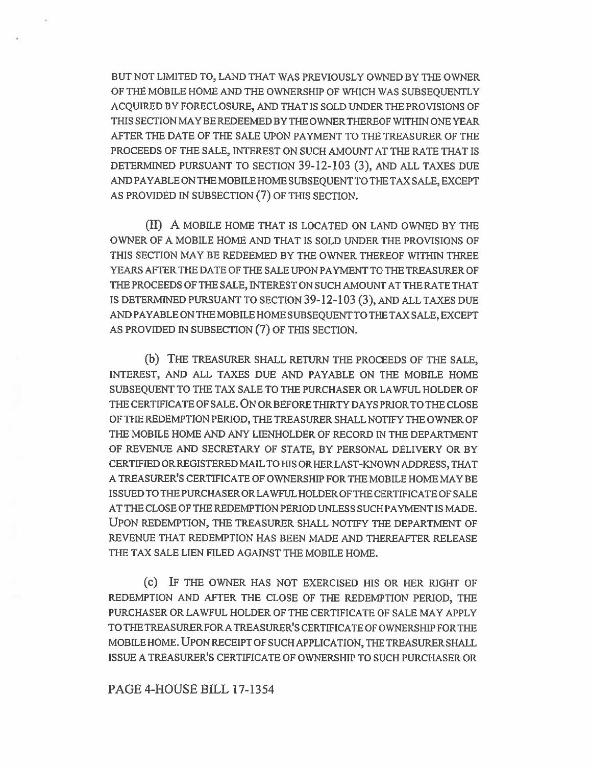BUT NOT LIMITED TO, LAND THAT WAS PREVIOUSLY OWNED BY THE OWNER OF THE MOBILE HOME AND THE OWNERSHIP OF WHICH WAS SUBSEQUENTLY ACQUIRED BY FORECLOSURE, AND THAT IS SOLD UNDER THE PROVISIONS OF THIS SECTION MAY BE REDEEMED BY THE OWNER THERE OF WITHIN ONE YEAR AFTER THE DATE OF THE SALE UPON PAYMENT TO THE TREASURER OF THE PROCEEDS OF THE SALE, INTEREST ON SUCH AMOUNT AT THE RATE THAT IS DETERMINED PURSUANT TO SECTION 39-12-103 (3), AND ALL TAXES DUE AND PAYABLE ON THE MOBILE HOME SUBSEQUENT TO THE TAX SALE, EXCEPT AS PROVIDED IN SUBSECTION (7) OF THIS SECTION.

(II) A MOBILE HOME THAT IS LOCATED ON LAND OWNED BY THE OWNER OF A MOBILE HOME AND THAT IS SOLD UNDER THE PROVISIONS OF THIS SECTION MAY BE REDEEMED BY THE OWNER THEREOF WITHIN THREE YEARS AFTER THE DATE OF THE SALE UPON PAYMENT TO THE TREASURER OF THE PROCEEDS OF THE SALE, INTEREST ON SUCH AMOUNT AT THE RATE THAT IS DETERMINED PURSUANT TO SECTION 39-12-103 (3), AND ALL TAXES DUE AND PAYABLE ON THE MOBILE HOME SUBSEQUENT TO THE TAX SALE, EXCEPT AS PROVIDED IN SUBSECTION (7) OF THIS SECTION.

(b) THE TREASURER SHALL RETURN THE PROCEEDS OF THE SALE, INTEREST, AND ALL TAXES DUE AND PAYABLE ON THE MOBILE HOME SUBSEQUENT TO THE TAX SALE TO THE PURCHASER OR LAWFUL HOLDER OF THE CERTIFICATE OF SALE. ON OR BEFORE THIRTY DAYS PRIOR TO THE CLOSE OF THE REDEMPTION PERIOD, THE TREASURER SHALL NOTIFY THE OWNER OF THE MOBILE HOME AND ANY LIENHOLDER OF RECORD IN THE DEPARTMENT OF REVENUE AND SECRETARY OF STATE, BY PERSONAL DELIVERY OR BY CERTIFIED OR REGISTERED MAIL TO HIS OR HER LAST-KNOWN ADDRESS, THAT A TREASURER'S CERTIFICATE OF OWNERSHIP FOR THE MOBILE HOME MAY BE ISSUED TO THE PURCHASER OR LAWFUL HOLDER OF THE CERTIFICATE OF SALE AT THE CLOSE OF THE REDEMPTION PERIOD UNLESS SUCH PAYMENT IS MADE. UPON REDEMPTION, THE TREASURER SHALL NOTIFY THE DEPARTMENT OF REVENUE THAT REDEMPTION HAS BEEN MADE AND THEREAFTER RELEASE THE TAX SALE LIEN FILED AGAINST THE MOBILE HOME.

(c) IF THE OWNER HAS NOT EXERCISED HIS OR HER RIGHT OF REDEMPTION AND AFTER THE CLOSE OF THE REDEMPTION PERIOD, THE PURCHASER OR LAWFUL HOLDER OF THE CERTIFICATE OF SALE MAY APPLY TO THE TREASURER FOR A TREASURER'S CERTIFICATE OF OWNERSHIP FOR THE MOBILE HOME. UPON RECEIPT OF SUCH APPLICATION, THE TREASURER SHALL ISSUE A TREASURER'S CERTIFICATE OF OWNERSHIP TO SUCH PURCHASER OR

## PAGE 4-HOUSE BILL 17-1354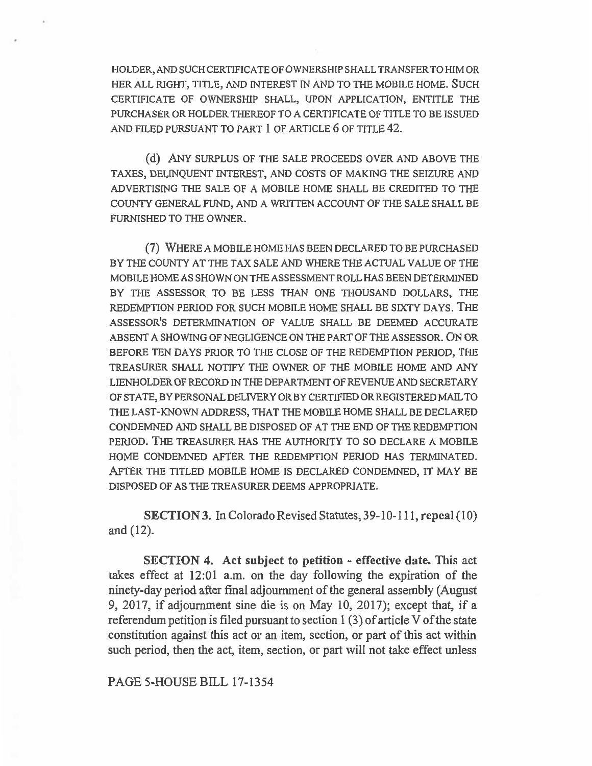HOLDER, AND SUCH CERTIFICATE OF OWNERSHIP SHALL TRANSFER TO HIM OR HER ALL RIGHT, TITLE, AND INTEREST IN AND TO THE MOBILE HOME. SUCH CERTIFICATE OF OWNERSHIP SHALL, UPON APPLICATION, ENTITLE THE PURCHASER OR HOLDER THEREOF TO A CERTIFICATE OF TITLE TO BE ISSUED AND FILED PURSUANT TO PART 1 OF ARTICLE 6 OF TITLE 42.

(d) ANY SURPLUS OF THE SALE PROCEEDS OVER AND ABOVE THE TAXES, DELINQUENT INTEREST, AND COSTS OF MAKING THE SEIZURE AND ADVERTISING THE SALE OF A MOBILE HOME SHALL BE CREDITED TO THE COUNTY GENERAL FUND, AND A WRITTEN ACCOUNT OF THE SALE SHALL BE FURNISHED TO THE OWNER.

(7) WHERE A MOBILE HOME HAS BEEN DECLARED TO BE PURCHASED BY THE COUNTY AT THE TAX SALE AND WHERE THE ACTUAL VALUE OF THE MOBILE HOME AS SHOWN ON THE ASSESSMENT ROLL HAS BEEN DETERMINED BY THE ASSESSOR TO BE LESS THAN ONE THOUSAND DOLLARS, THE REDEMPTION PERIOD FOR SUCH MOBILE HOME SHALL BE SIXTY DAYS. THE ASSESSOR'S DETERMINATION OF VALUE SHALL BE DEEMED ACCURATE ABSENT A SHOWING OF NEGLIGENCE ON THE PART OF THE ASSESSOR. ON OR BEFORE TEN DAYS PRIOR TO THE CLOSE OF THE REDEMPTION PERIOD, THE TREASURER SHALL NOTIFY THE OWNER OF THE MOBILE HOME AND ANY LIENHOLDER OF RECORD IN THE DEPARTMENT OF REVENUE AND SECRETARY OF STATE, BY PERSONAL DELIVERY OR BY CERTIFIED ORREGISTERED MAIL TO THE LAST-KNOWN ADDRESS, THAT THE MOBILE HOME SHALL BE DECLARED CONDEMNED AND SHALL BE DISPOSED OF AT THE END OF THE REDEMPTION PERIOD. THE TREASURER HAS THE AUTHORITY TO SO DECLARE A MOBILE HOME CONDEMNED AFTER THE REDEMPTION PERIOD HAS TERMINATED. AFTER THE TITLED MOBILE HOME IS DECLARED CONDEMNED, IT MAY BE DISPOSED OF AS THE TREASURER DEEMS APPROPRIATE.

**SECTION 3.** In Colorado Revised Statutes, 39-10-111, **repeal (10) and (12).** 

**SECTION 4. Act subject to petition - effective date.** This act takes effect at 12:01 a.m. on the day following the expiration of the ninety-day period after fmal adjournment of the general assembly (August 9, 2017, if adjournment sine die is on May 10, 2017); except that, if a referendum petition is filed pursuant to section 1 (3) of article V of the state constitution against this act or an item, section, or part of this act within such period, then the act, item, section, or part will not take effect unless

PAGE 5-HOUSE BILL 17-1354